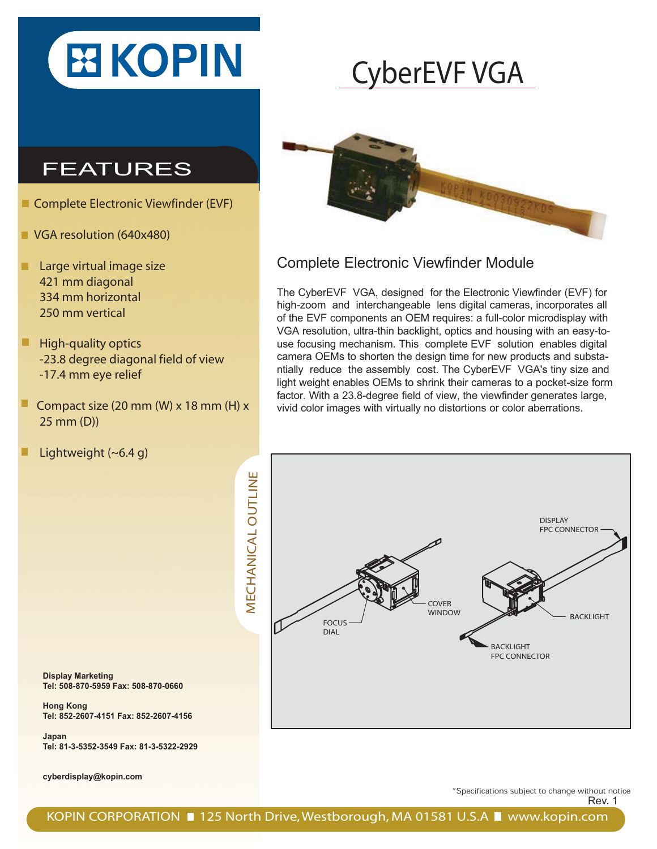

## CyberEVF VGA

### FEATURES

- Complete Electronic Viewfinder (EVF)
- **VGA resolution (640x480)**
- **Large virtual image size**  421 mm diagonal 334 mm horizontal 250 mm vertical
- $\blacksquare$  High-quality optics -23.8 degree diagonal field of view -17.4 mm eye relief
- Compact size (20 mm (W) x 18 mm (H) x 25 mm (D))
- Lightweight (~6.4 g)



#### Complete Electronic Viewfinder Module

The CyberEVF VGA, designed for the Electronic Viewfinder (EVF) for high-zoom and interchangeable lens digital cameras, incorporates all of the EVF components an OEM requires: a full-color microdisplay with VGA resolution, ultra-thin backlight, optics and housing with an easy-touse focusing mechanism. This complete EVF solution enables digital camera OEMs to shorten the design time for new products and substantially reduce the assembly cost. The CyberEVF VGA's tiny size and light weight enables OEMs to shrink their cameras to a pocket-size form factor. With a 23.8-degree field of view, the viewfinder generates large, vivid color images with virtually no distortions or color aberrations.



**Display Marketing Tel: 508-870-5959 Fax: 508-870-0660**

**Hong Kong Tel: 852-2607-4151 Fax: 852-2607-4156**

**Japan Tel: 81-3-5352-3549 Fax: 81-3-5322-2929**

**cyberdisplay@kopin.com**

\*Specifications subject to change without notice

Rev. 1